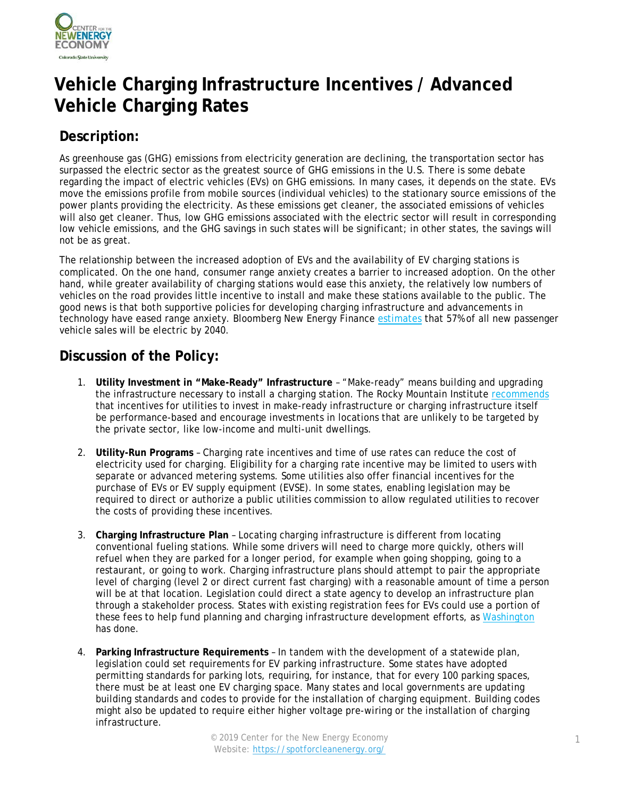

# **Vehicle Charging Infrastructure Incentives / Advanced Vehicle Charging Rates**

# **Description:**

As greenhouse gas (GHG) emissions from electricity generation are declining, the transportation sector has surpassed the electric sector as the greatest source of GHG emissions in the U.S. There is some debate regarding the impact of electric vehicles (EVs) on GHG emissions. In many cases, it depends on the state. EVs move the emissions profile from mobile sources (individual vehicles) to the stationary source emissions of the power plants providing the electricity. As these emissions get cleaner, the associated emissions of vehicles will also get cleaner. Thus, low GHG emissions associated with the electric sector will result in corresponding low vehicle emissions, and the GHG savings in such states will be significant; in other states, the savings will not be as great.

The relationship between the increased adoption of EVs and the availability of EV charging stations is complicated. On the one hand, consumer range anxiety creates a barrier to increased adoption. On the other hand, while greater availability of charging stations would ease this anxiety, the relatively low numbers of vehicles on the road provides little incentive to install and make these stations available to the public. The good news is that both supportive policies for developing charging infrastructure and advancements in technology have eased range anxiety. Bloomberg New Energy Finance [estimates](https://about.bnef.com/electric-vehicle-outlook/#toc-viewreport) that 57% of all new passenger vehicle sales will be electric by 2040.

### **Discussion of the Policy:**

- 1. **Utility Investment in "Make-Ready" Infrastructure** "Make-ready" means building and upgrading the infrastructure necessary to install a charging station. The Rocky Mountain Institute [recommends](https://www.rmi.org/insights/reports/from_gas_to_grid/) that incentives for utilities to invest in make-ready infrastructure or charging infrastructure itself be performance-based and encourage investments in locations that are unlikely to be targeted by the private sector, like low-income and multi-unit dwellings.
- 2. **Utility-Run Programs** Charging rate incentives and time of use rates can reduce the cost of electricity used for charging. Eligibility for a charging rate incentive may be limited to users with separate or advanced metering systems. Some utilities also offer financial incentives for the purchase of EVs or EV supply equipment (EVSE). In some states, enabling legislation may be required to direct or authorize a public utilities commission to allow regulated utilities to recover the costs of providing these incentives.
- 3. **Charging Infrastructure Plan** Locating charging infrastructure is different from locating conventional fueling stations. While some drivers will need to charge more quickly, others will refuel when they are parked for a longer period, for example when going shopping, going to a restaurant, or going to work. Charging infrastructure plans should attempt to pair the appropriate level of charging (level 2 or direct current fast charging) with a reasonable amount of time a person will be at that location. Legislation could direct a state agency to develop an infrastructure plan through a stakeholder process. States with existing registration fees for EVs could use a portion of these fees to help fund planning and charging infrastructure development efforts, as [Washington](https://www.wsdot.wa.gov/Funding/Partners/EVIB.htm) has done.
- 4. **Parking Infrastructure Requirements** In tandem with the development of a statewide plan, legislation could set requirements for EV parking infrastructure. Some states have adopted permitting standards for parking lots, requiring, for instance, that for every 100 parking spaces, there must be at least one EV charging space. Many states and local governments are updating building standards and codes to provide for the installation of charging equipment. Building codes might also be updated to require either higher voltage pre-wiring or the installation of charging infrastructure.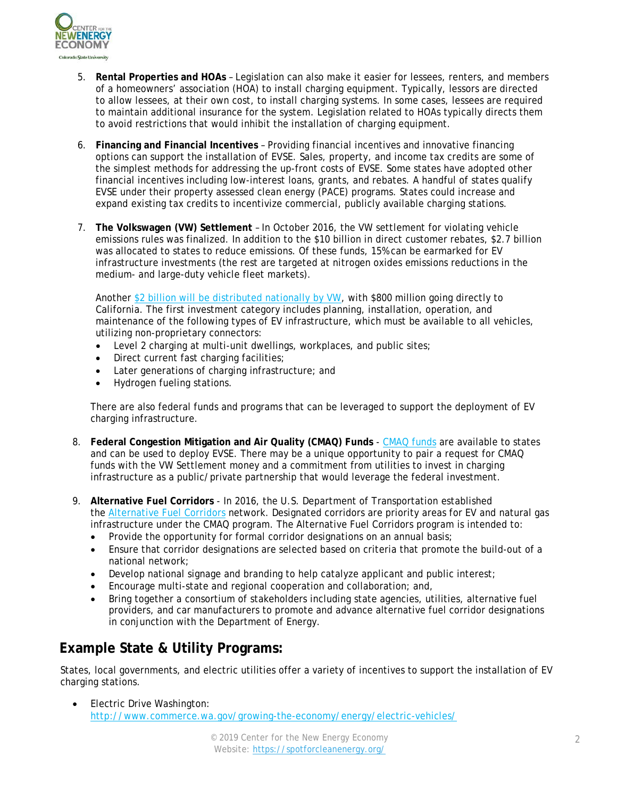

- 5. **Rental Properties and HOAs** Legislation can also make it easier for lessees, renters, and members of a homeowners' association (HOA) to install charging equipment. Typically, lessors are directed to allow lessees, at their own cost, to install charging systems. In some cases, lessees are required to maintain additional insurance for the system. Legislation related to HOAs typically directs them to avoid restrictions that would inhibit the installation of charging equipment.
- 6. **Financing and Financial Incentives** Providing financial incentives and innovative financing options can support the installation of EVSE. Sales, property, and income tax credits are some of the simplest methods for addressing the up-front costs of EVSE. Some states have adopted other financial incentives including low-interest loans, grants, and rebates. A handful of states qualify EVSE under their property assessed clean energy (PACE) programs. States could increase and expand existing tax credits to incentivize commercial, publicly available charging stations.
- 7. **The Volkswagen (VW) Settlement** In October 2016, the VW settlement for violating vehicle emissions rules was finalized. In addition to the \$10 billion in direct customer rebates, \$2.7 billion was allocated to states to reduce emissions. Of these funds, 15% can be earmarked for EV infrastructure investments (the rest are targeted at nitrogen oxides emissions reductions in the medium- and large-duty vehicle fleet markets).

Another [\\$2 billion will be distributed nationally by VW,](https://www.epa.gov/sites/production/files/2016-11/documents/vw-faqs-app-c-final-11-18-16.pdf) with \$800 million going directly to California. The first investment category includes planning, installation, operation, and maintenance of the following types of EV infrastructure, which must be available to all vehicles, utilizing non-proprietary connectors:

- Level 2 charging at multi-unit dwellings, workplaces, and public sites;
- Direct current fast charging facilities;
- Later generations of charging infrastructure; and
- Hydrogen fueling stations.

There are also federal funds and programs that can be leveraged to support the deployment of EV charging infrastructure.

- 8. **Federal Congestion Mitigation and Air Quality (CMAQ) Funds** [CMAQ funds](https://www.fhwa.dot.gov/map21/factsheets/cmaq.cfm) are available to states and can be used to deploy EVSE. There may be a unique opportunity to pair a request for CMAQ funds with the VW Settlement money and a commitment from utilities to invest in charging infrastructure as a public/private partnership that would leverage the federal investment.
- 9. **Alternative Fuel Corridors** In 2016, the U.S. Department of Transportation established the [Alternative Fuel Corridors](https://www.fhwa.dot.gov/environment/alternative_fuel_corridors/) network. Designated corridors are priority areas for EV and natural gas infrastructure under the CMAQ program. The Alternative Fuel Corridors program is intended to:
	- Provide the opportunity for formal corridor designations on an annual basis;
	- Ensure that corridor designations are selected based on criteria that promote the build-out of a national network;
	- Develop national signage and branding to help catalyze applicant and public interest;
	- Encourage multi-state and regional cooperation and collaboration; and,
	- Bring together a consortium of stakeholders including state agencies, utilities, alternative fuel providers, and car manufacturers to promote and advance alternative fuel corridor designations in conjunction with the Department of Energy.

### **Example State & Utility Programs:**

States, local governments, and electric utilities offer a variety of incentives to support the installation of EV charging stations.

• Electric Drive Washington: <http://www.commerce.wa.gov/growing-the-economy/energy/electric-vehicles/>